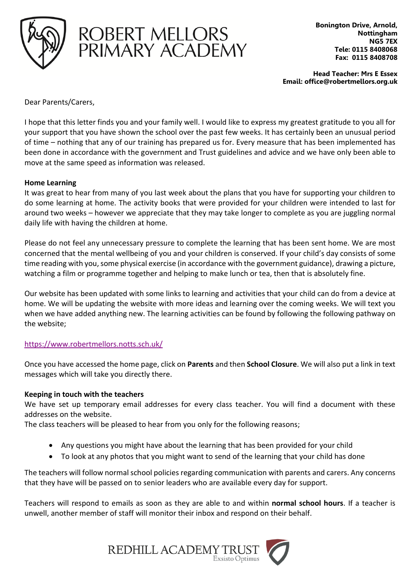



**Bonington Drive, Arnold, Nottingham NG5 7EX Tele: 0115 8408068 Fax: 0115 8408708**

**Head Teacher: Mrs E Essex Email: office@robertmellors.org.uk**

Dear Parents/Carers,

I hope that this letter finds you and your family well. I would like to express my greatest gratitude to you all for your support that you have shown the school over the past few weeks. It has certainly been an unusual period of time – nothing that any of our training has prepared us for. Every measure that has been implemented has been done in accordance with the government and Trust guidelines and advice and we have only been able to move at the same speed as information was released.

## **Home Learning**

It was great to hear from many of you last week about the plans that you have for supporting your children to do some learning at home. The activity books that were provided for your children were intended to last for around two weeks – however we appreciate that they may take longer to complete as you are juggling normal daily life with having the children at home.

Please do not feel any unnecessary pressure to complete the learning that has been sent home. We are most concerned that the mental wellbeing of you and your children is conserved. If your child's day consists of some time reading with you, some physical exercise (in accordance with the government guidance), drawing a picture, watching a film or programme together and helping to make lunch or tea, then that is absolutely fine.

Our website has been updated with some links to learning and activities that your child can do from a device at home. We will be updating the website with more ideas and learning over the coming weeks. We will text you when we have added anything new. The learning activities can be found by following the following pathway on the website;

## <https://www.robertmellors.notts.sch.uk/>

Once you have accessed the home page, click on **Parents** and then **School Closure**. We will also put a link in text messages which will take you directly there.

## **Keeping in touch with the teachers**

We have set up temporary email addresses for every class teacher. You will find a document with these addresses on the website.

The class teachers will be pleased to hear from you only for the following reasons;

- Any questions you might have about the learning that has been provided for your child
- To look at any photos that you might want to send of the learning that your child has done

The teachers will follow normal school policies regarding communication with parents and carers. Any concerns that they have will be passed on to senior leaders who are available every day for support.

Teachers will respond to emails as soon as they are able to and within **normal school hours**. If a teacher is unwell, another member of staff will monitor their inbox and respond on their behalf.